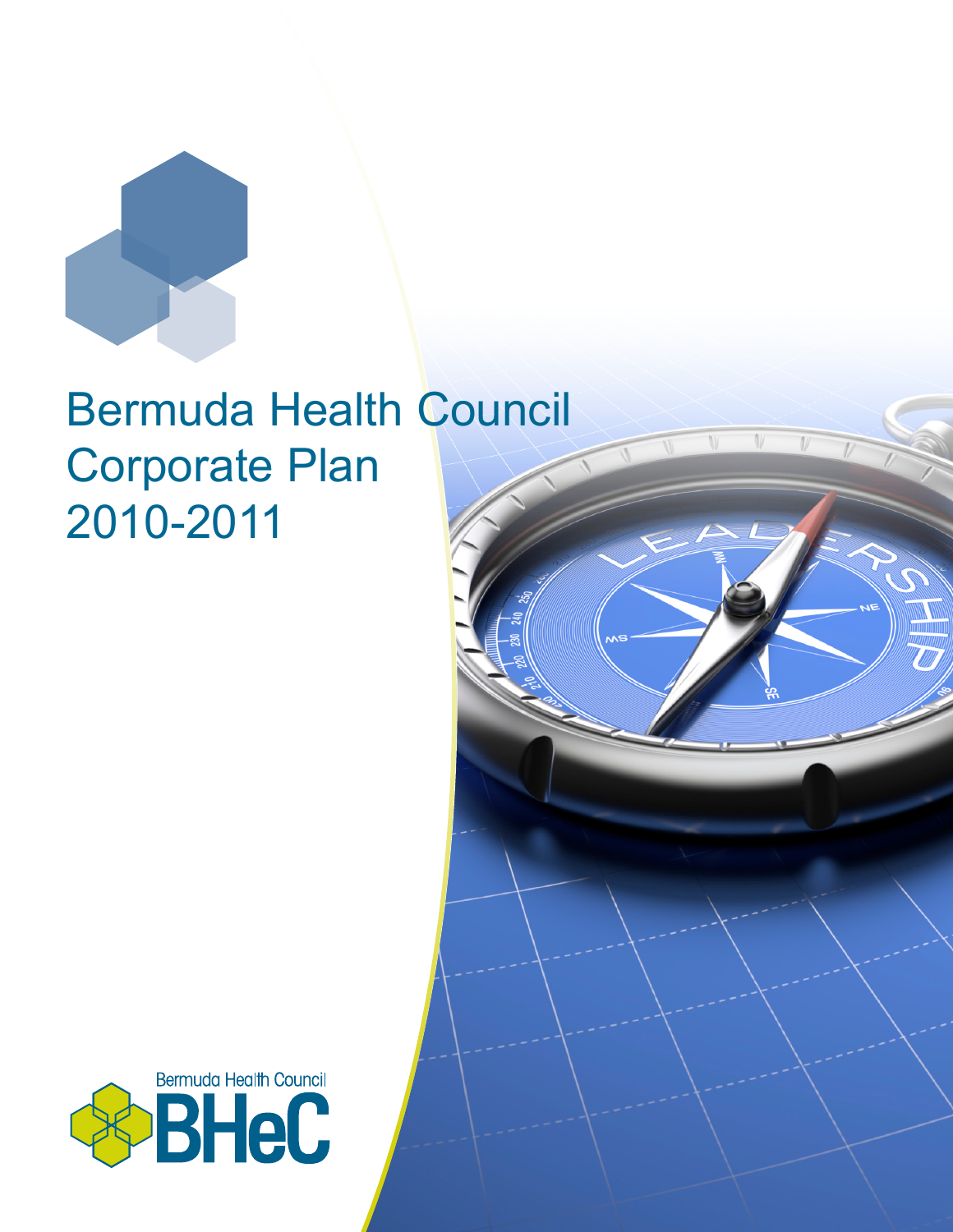

# Bermuda Health Council Corporate Plan 2010-2011

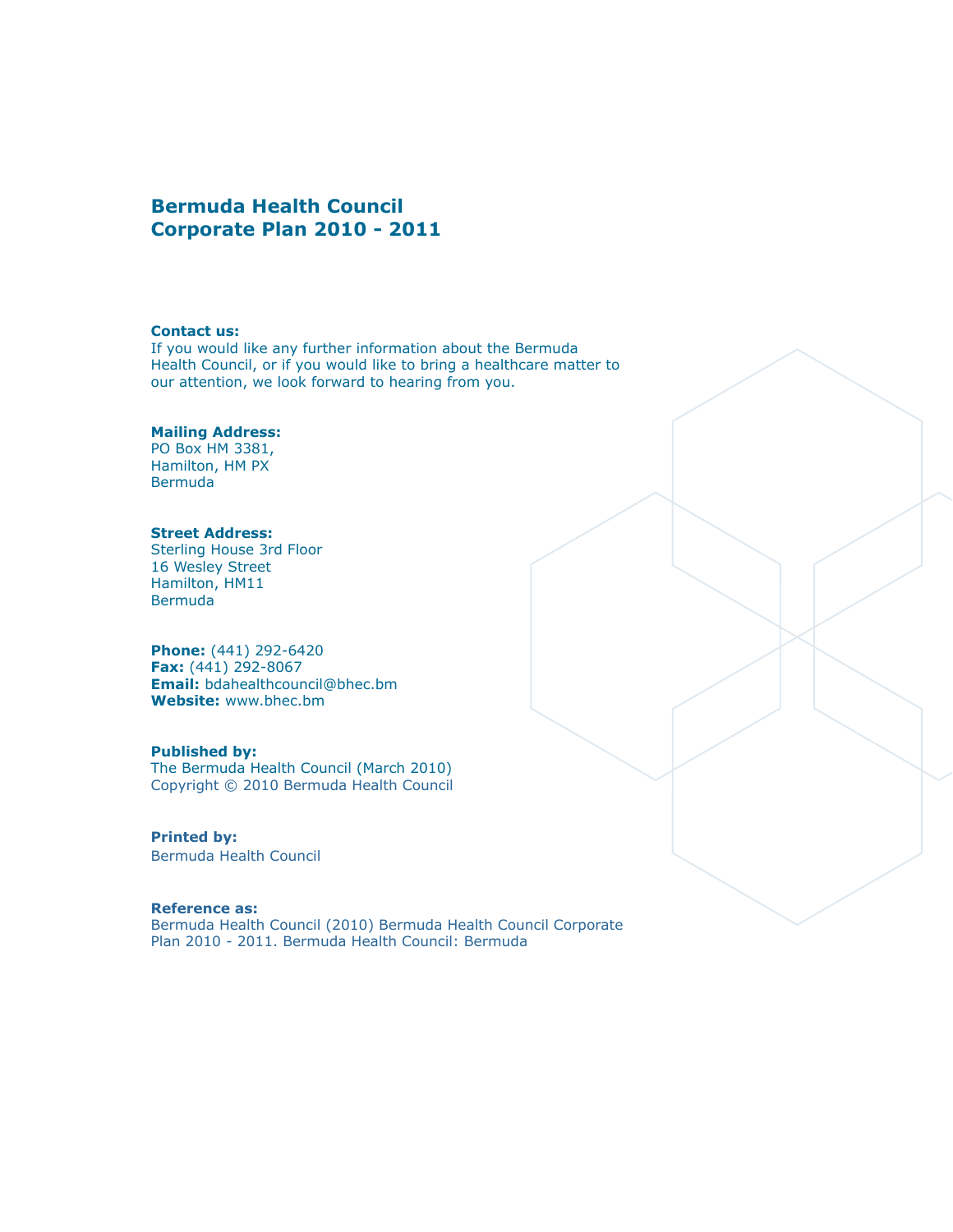#### **Bermuda Health Council Corporate Plan 2010 - 2011**

#### **Contact us:**

If you would like any further information about the Bermuda Health Council, or if you would like to bring a healthcare matter to our attention, we look forward to hearing from you.

#### **Mailing Address:**

PO Box HM 3381, Hamilton, HM PX **Bermuda** 

#### **Street Address:**

Sterling House 3rd Floor 16 Wesley Street Hamilton, HM11 Bermuda

**Phone:** (441) 292-6420 **Fax:** (441) 292-8067 **Email:** bdahealthcouncil@bhec.bm **Website:** www.bhec.bm

#### **Published by:**

The Bermuda Health Council (March 2010) Copyright © 2010 Bermuda Health Council

#### **Printed by:**

Bermuda Health Council

#### **Reference as:**

Bermuda Health Council (2010) Bermuda Health Council Corporate Plan 2010 - 2011. Bermuda Health Council: Bermuda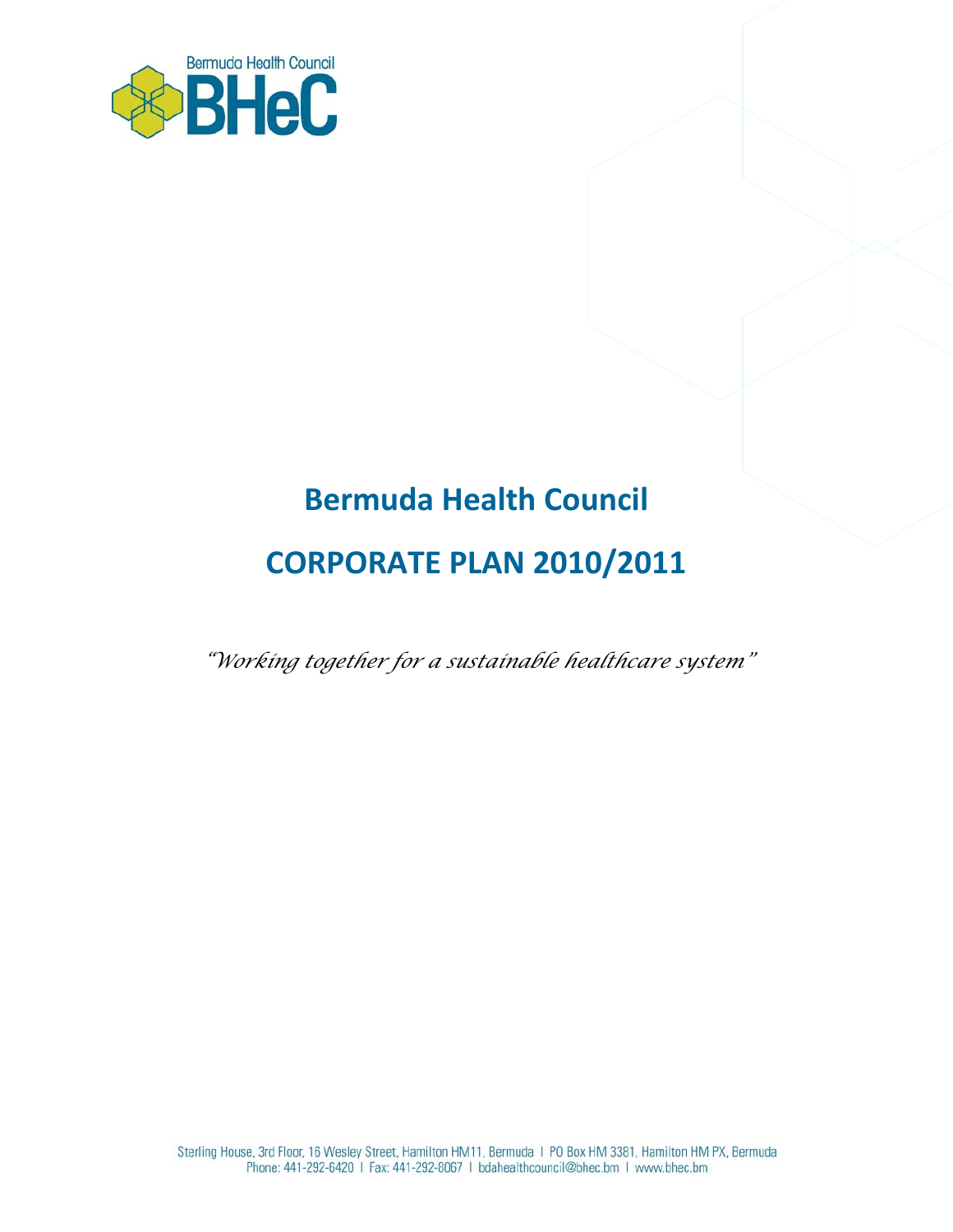

## **Bermuda Health Council**

## **CORPORATE PLAN 2010/2011**

*"Working together for a sustainable healthcare system"*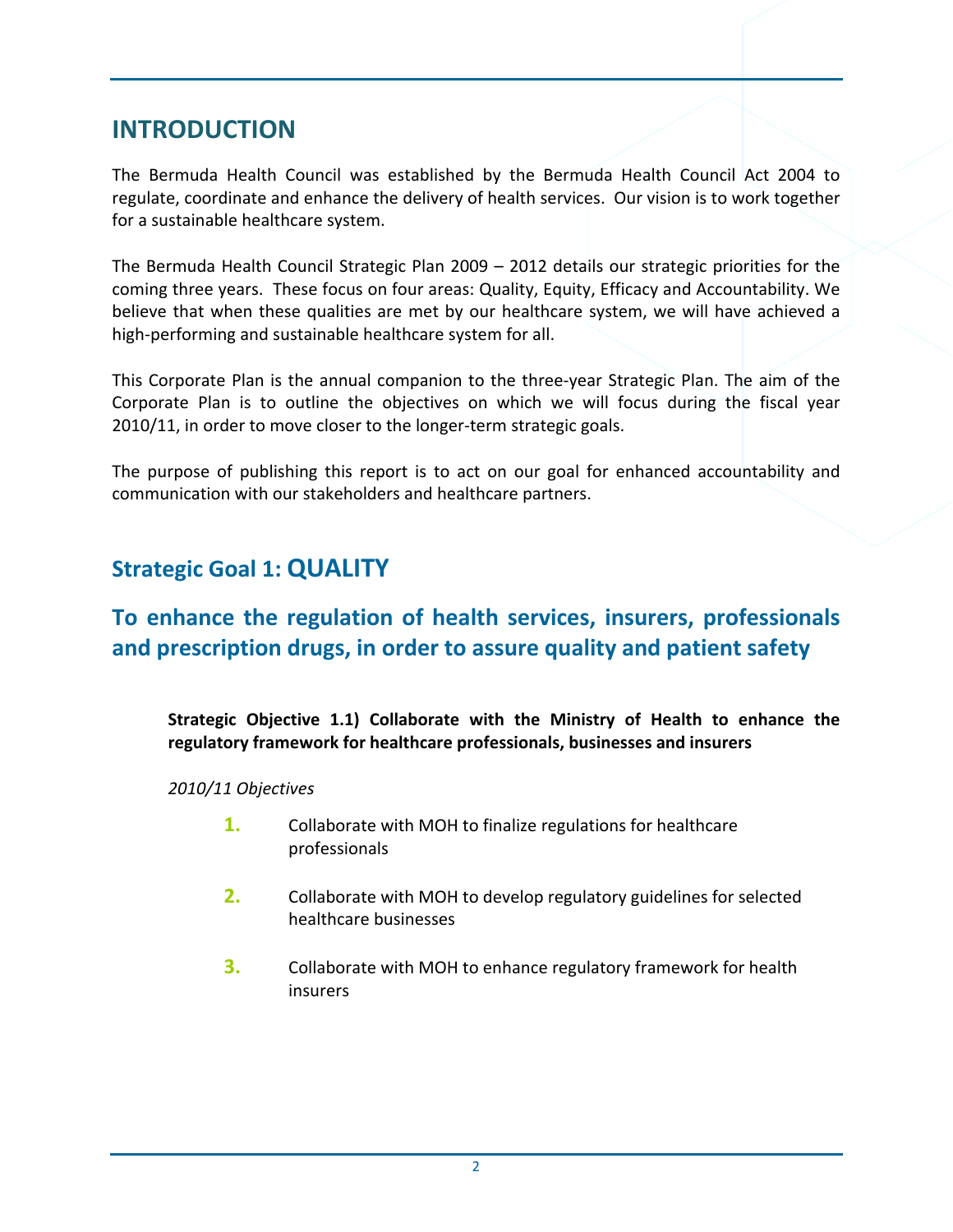## **INTRODUCTION**

The Bermuda Health Council was established by the Bermuda Health Council Act 2004 to regulate, coordinate and enhance the delivery of health services. Our vision is to work together for a sustainable healthcare system.

The Bermuda Health Council Strategic Plan 2009 – 2012 details our strategic priorities for the coming three years. These focus on four areas: Quality, Equity, Efficacy and Accountability. We believe that when these qualities are met by our healthcare system, we will have achieved a high-performing and sustainable healthcare system for all.

This Corporate Plan is the annual companion to the three‐year Strategic Plan. The aim of the Corporate Plan is to outline the objectives on which we will focus during the fiscal year 2010/11, in order to move closer to the longer-term strategic goals.

The purpose of publishing this report is to act on our goal for enhanced accountability and communication with our stakeholders and healthcare partners.

## **Strategic Goal 1: QUALITY**

## **To enhance the regulation of health services, insurers, professionals and prescription drugs, in order to assure quality and patient safety**

**Strategic Objective 1.1) Collaborate with the Ministry of Health to enhance the regulatory framework for healthcare professionals, businesses and insurers**

*2010/11 Objectives*

- **1.** Collaborate with MOH to finalize regulations for healthcare professionals
- **2.** Collaborate with MOH to develop regulatory guidelines for selected healthcare businesses
- **3.** Collaborate with MOH to enhance regulatory framework for health insurers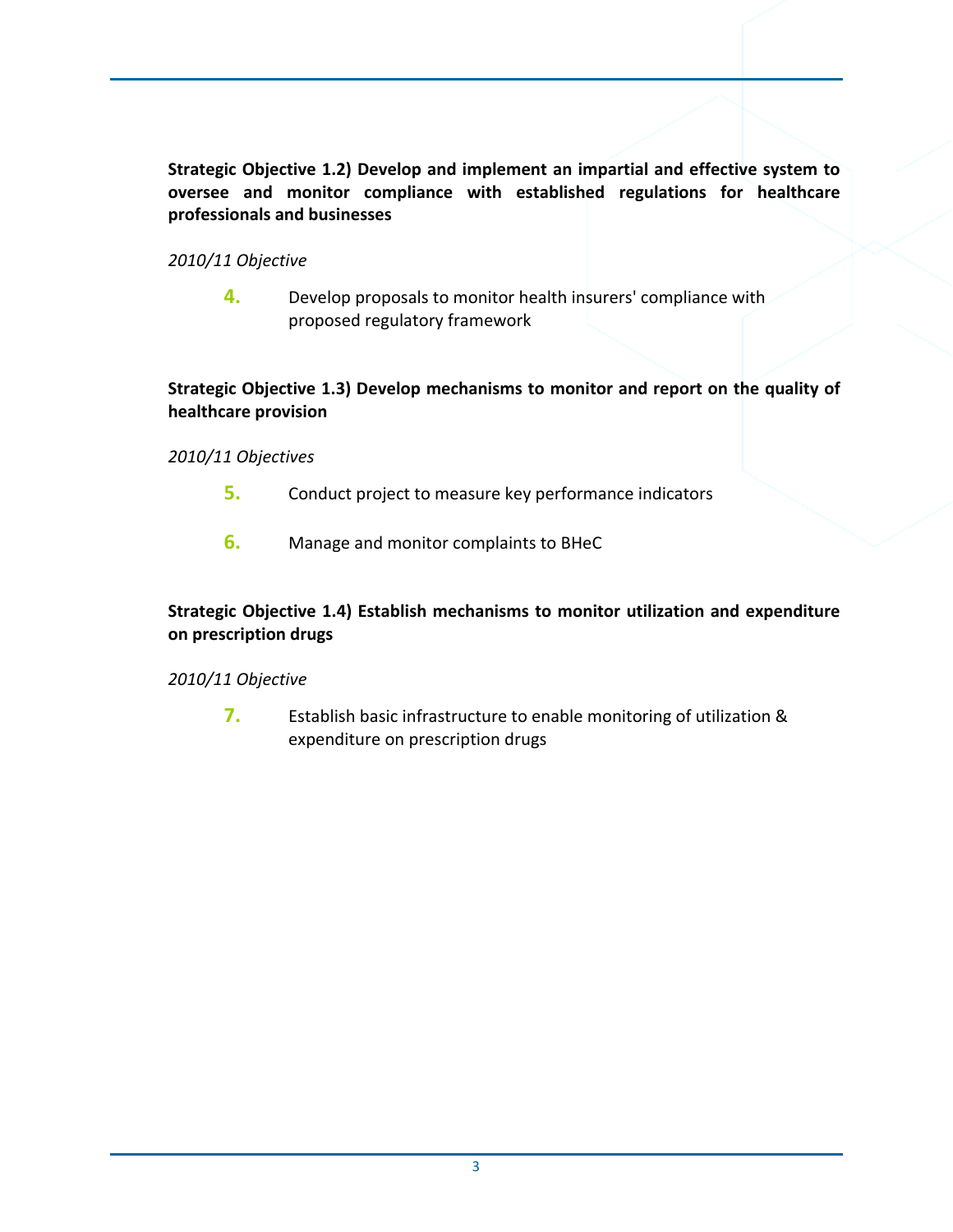**Strategic Objective 1.2) Develop and implement an impartial and effective system to oversee and monitor compliance with established regulations for healthcare professionals and businesses**

#### *2010/11 Objective*

**4.** Develop proposals to monitor health insurers' compliance with proposed regulatory framework

#### **Strategic Objective 1.3) Develop mechanisms to monitor and report on the quality of healthcare provision**

#### *2010/11 Objectives*

- **5.** Conduct project to measure key performance indicators
- **6.** Manage and monitor complaints to BHeC

#### **Strategic Objective 1.4) Establish mechanisms to monitor utilization and expenditure on prescription drugs**

#### *2010/11 Objective*

**7.** Establish basic infrastructure to enable monitoring of utilization & expenditure on prescription drugs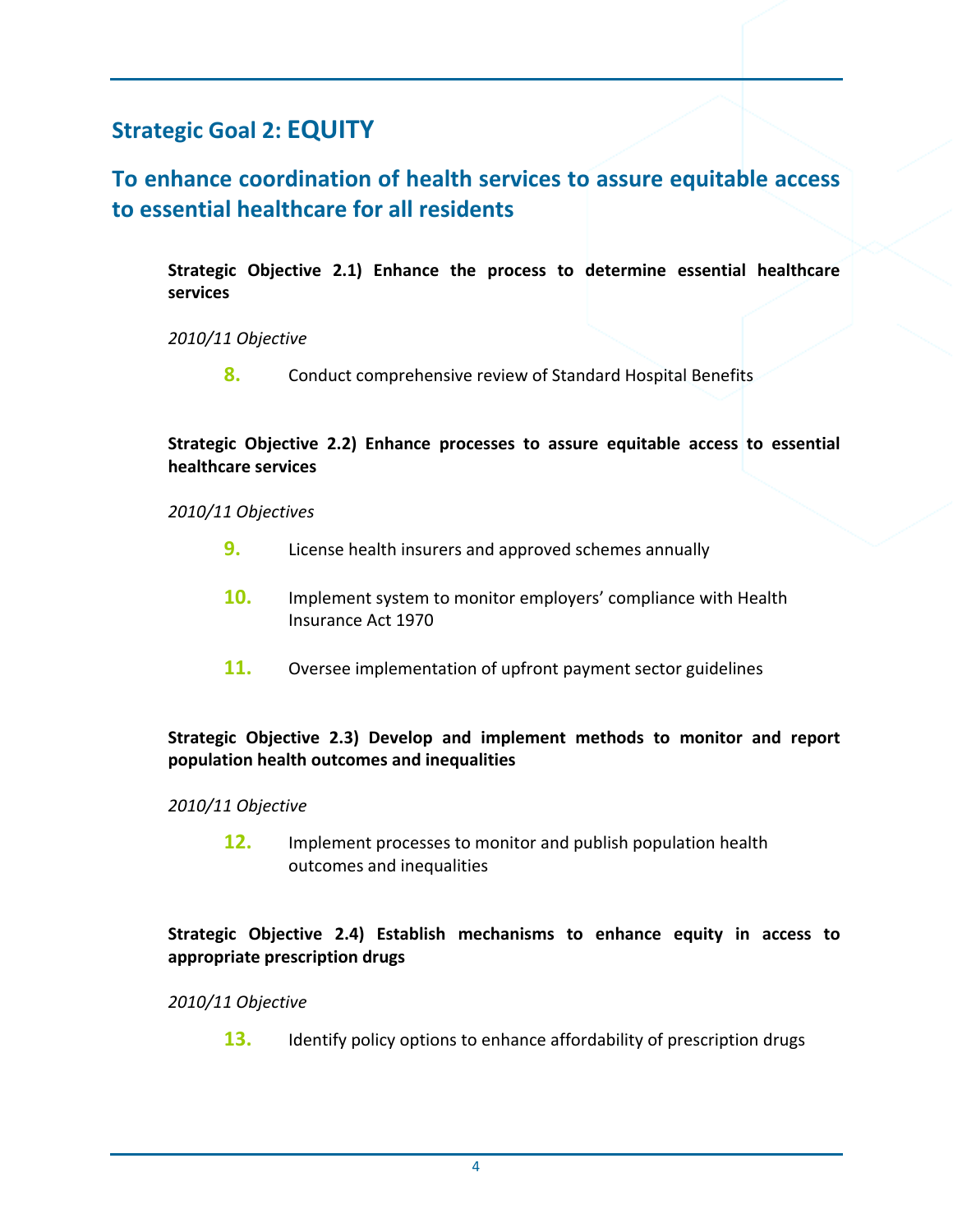## **Strategic Goal 2: EQUITY**

## **To enhance coordination of health services to assure equitable access to essential healthcare for all residents**

**Strategic Objective 2.1) Enhance the process to determine essential healthcare services**

*2010/11 Objective*

**8.** Conduct comprehensive review of Standard Hospital Benefits

#### **Strategic Objective 2.2) Enhance processes to assure equitable access to essential healthcare services**

*2010/11 Objectives*

- **9.** License health insurers and approved schemes annually
- **10.** Implement system to monitor employers' compliance with Health Insurance Act 1970
- **11.** Oversee implementation of upfront payment sector guidelines

#### **Strategic Objective 2.3) Develop and implement methods to monitor and report population health outcomes and inequalities**

#### *2010/11 Objective*

**12.** Implement processes to monitor and publish population health outcomes and inequalities

#### **Strategic Objective 2.4) Establish mechanisms to enhance equity in access to appropriate prescription drugs**

*2010/11 Objective*

**13.** Identify policy options to enhance affordability of prescription drugs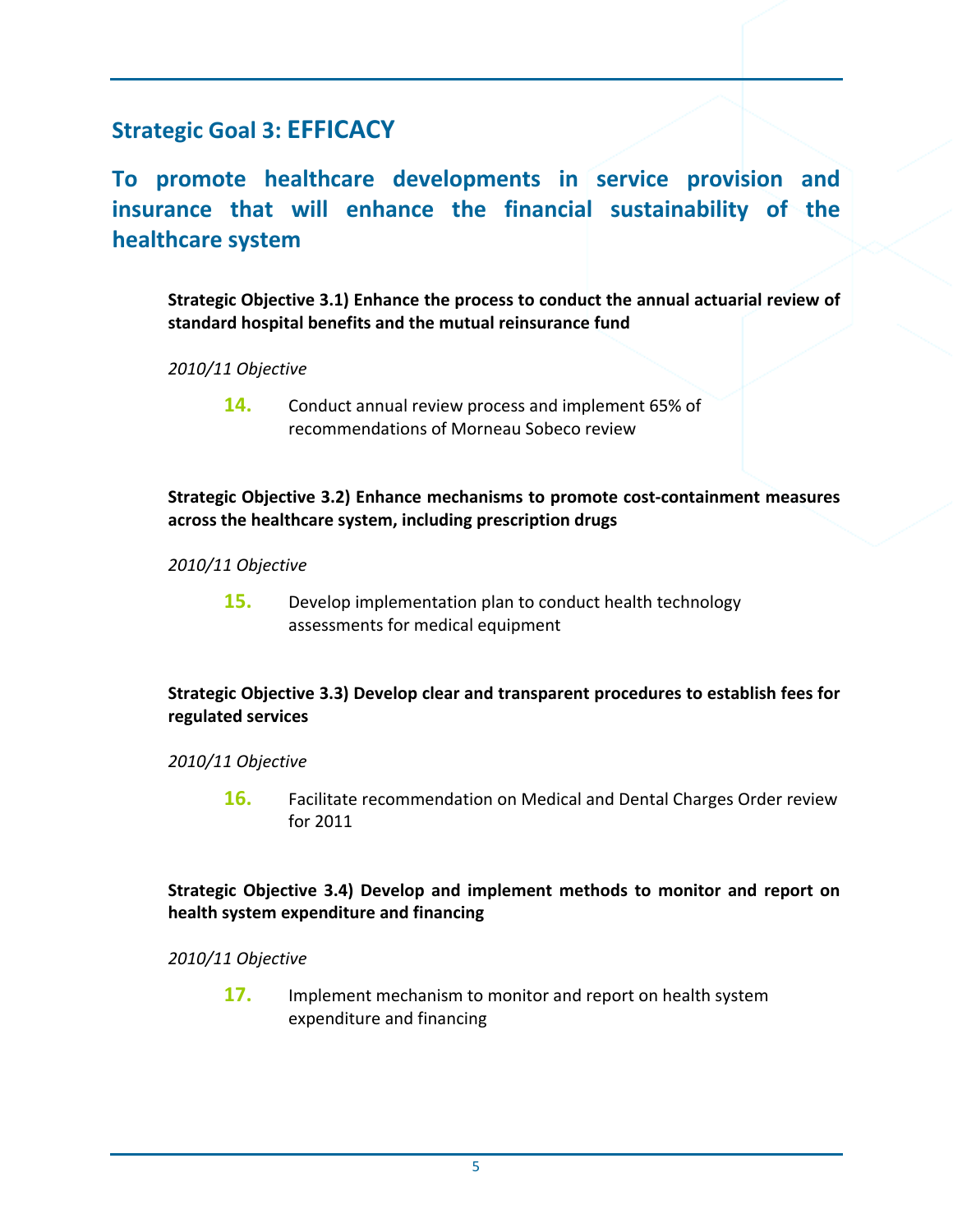## **Strategic Goal 3: EFFICACY**

**To promote healthcare developments in service provision and insurance that will enhance the financial sustainability of the healthcare system**

**Strategic Objective 3.1) Enhance the process to conduct the annual actuarial review of standard hospital benefits and the mutual reinsurance fund** 

#### *2010/11 Objective*

**14.** Conduct annual review process and implement 65% of recommendations of Morneau Sobeco review

#### **Strategic Objective 3.2) Enhance mechanisms to promote cost‐containment measures across the healthcare system, including prescription drugs**

#### *2010/11 Objective*

**15.** Develop implementation plan to conduct health technology assessments for medical equipment

#### **Strategic Objective 3.3) Develop clear and transparent procedures to establish fees for regulated services**

#### *2010/11 Objective*

**16.** Facilitate recommendation on Medical and Dental Charges Order review for 2011

#### **Strategic Objective 3.4) Develop and implement methods to monitor and report on health system expenditure and financing**

*2010/11 Objective*

**17.** Implement mechanism to monitor and report on health system expenditure and financing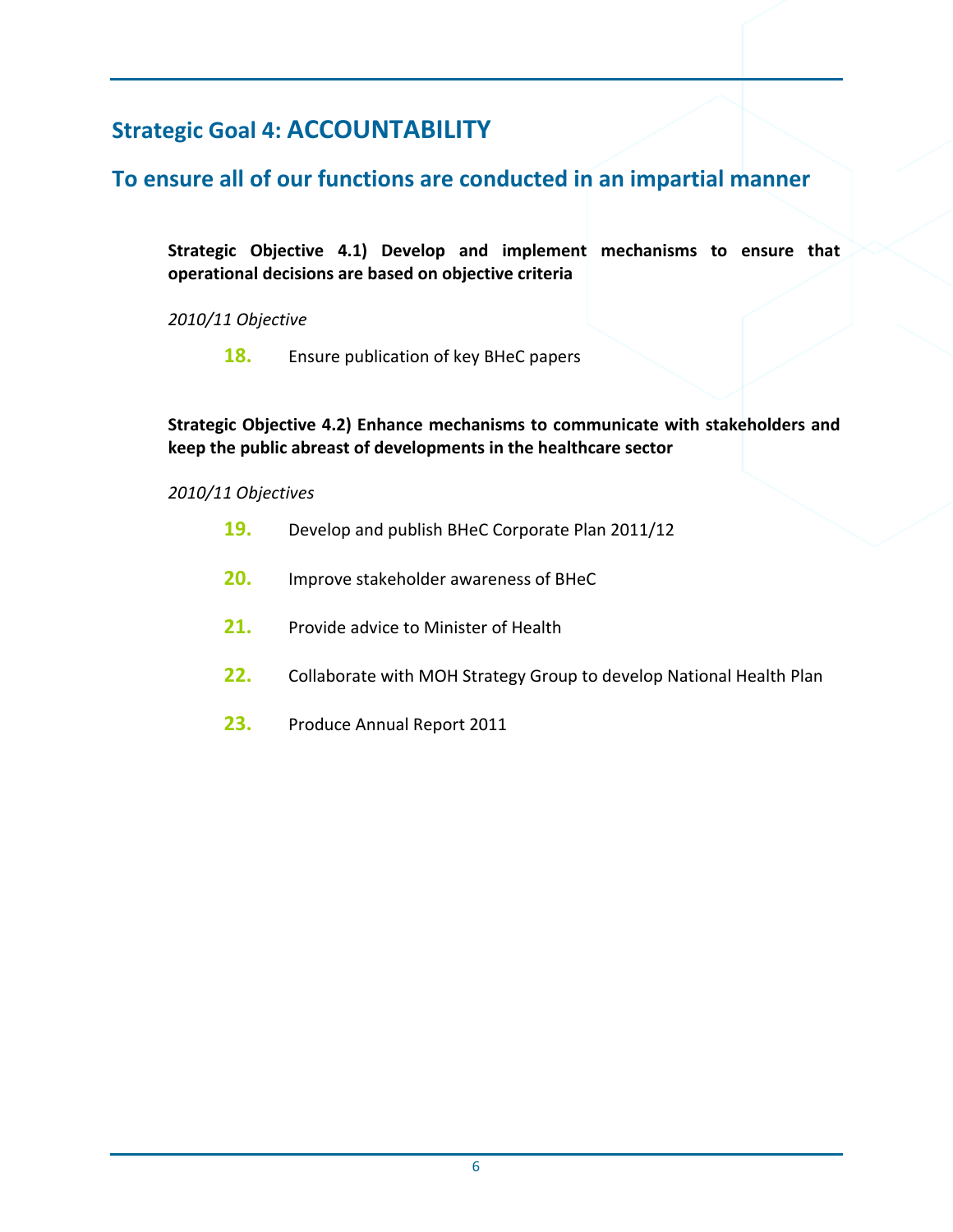## **Strategic Goal 4: ACCOUNTABILITY**

## **To ensure all of our functions are conducted in an impartial manner**

**Strategic Objective 4.1) Develop and implement mechanisms to ensure that operational decisions are based on objective criteria**

*2010/11 Objective*

**18.** Ensure publication of key BHeC papers

#### **Strategic Objective 4.2) Enhance mechanisms to communicate with stakeholders and keep the public abreast of developments in the healthcare sector**

#### *2010/11 Objectives*

- **19.** Develop and publish BHeC Corporate Plan 2011/12
- **20.** Improve stakeholder awareness of BHeC
- **21.** Provide advice to Minister of Health
- **22.** Collaborate with MOH Strategy Group to develop National Health Plan
- **23.** Produce Annual Report 2011